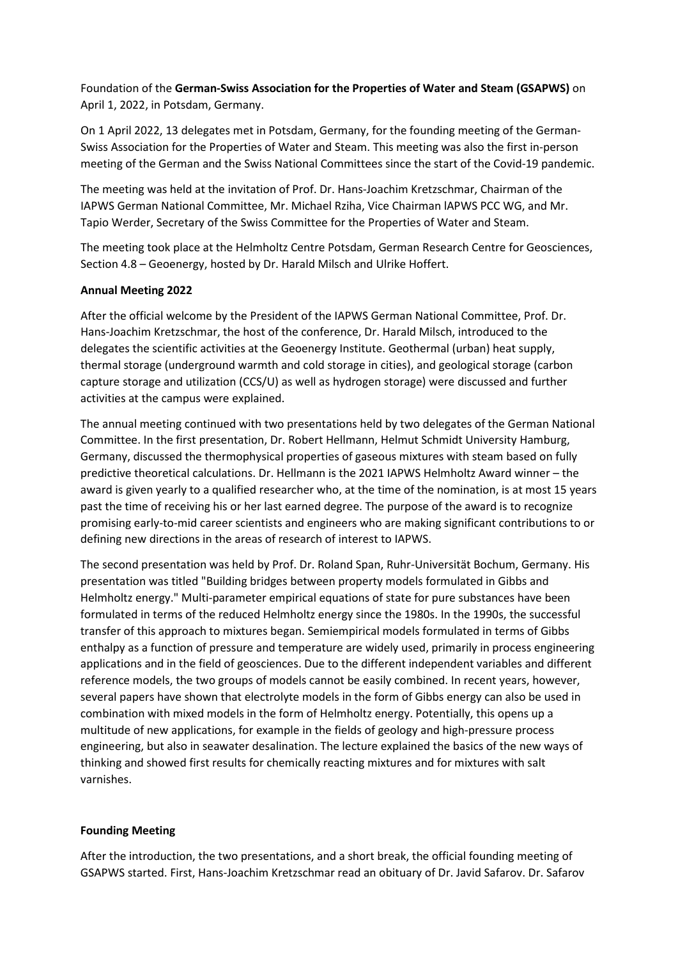Foundation of the **German-Swiss Association for the Properties of Water and Steam (GSAPWS)** on April 1, 2022, in Potsdam, Germany.

On 1 April 2022, 13 delegates met in Potsdam, Germany, for the founding meeting of the German-Swiss Association for the Properties of Water and Steam. This meeting was also the first in-person meeting of the German and the Swiss National Committees since the start of the Covid-19 pandemic.

The meeting was held at the invitation of Prof. Dr. Hans-Joachim Kretzschmar, Chairman of the IAPWS German National Committee, Mr. Michael Rziha, Vice Chairman lAPWS PCC WG, and Mr. Tapio Werder, Secretary of the Swiss Committee for the Properties of Water and Steam.

The meeting took place at the Helmholtz Centre Potsdam, German Research Centre for Geosciences, Section 4.8 – Geoenergy, hosted by Dr. Harald Milsch and Ulrike Hoffert.

## **Annual Meeting 2022**

After the official welcome by the President of the IAPWS German National Committee, Prof. Dr. Hans-Joachim Kretzschmar, the host of the conference, Dr. Harald Milsch, introduced to the delegates the scientific activities at the Geoenergy Institute. Geothermal (urban) heat supply, thermal storage (underground warmth and cold storage in cities), and geological storage (carbon capture storage and utilization (CCS/U) as well as hydrogen storage) were discussed and further activities at the campus were explained.

The annual meeting continued with two presentations held by two delegates of the German National Committee. In the first presentation, Dr. Robert Hellmann, Helmut Schmidt University Hamburg, Germany, discussed the thermophysical properties of gaseous mixtures with steam based on fully predictive theoretical calculations. Dr. Hellmann is the 2021 IAPWS Helmholtz Award winner – the award is given yearly to a qualified researcher who, at the time of the nomination, is at most 15 years past the time of receiving his or her last earned degree. The purpose of the award is to recognize promising early-to-mid career scientists and engineers who are making significant contributions to or defining new directions in the areas of research of interest to IAPWS.

The second presentation was held by Prof. Dr. Roland Span, Ruhr-Universität Bochum, Germany. His presentation was titled "Building bridges between property models formulated in Gibbs and Helmholtz energy." Multi-parameter empirical equations of state for pure substances have been formulated in terms of the reduced Helmholtz energy since the 1980s. In the 1990s, the successful transfer of this approach to mixtures began. Semiempirical models formulated in terms of Gibbs enthalpy as a function of pressure and temperature are widely used, primarily in process engineering applications and in the field of geosciences. Due to the different independent variables and different reference models, the two groups of models cannot be easily combined. In recent years, however, several papers have shown that electrolyte models in the form of Gibbs energy can also be used in combination with mixed models in the form of Helmholtz energy. Potentially, this opens up a multitude of new applications, for example in the fields of geology and high-pressure process engineering, but also in seawater desalination. The lecture explained the basics of the new ways of thinking and showed first results for chemically reacting mixtures and for mixtures with salt varnishes.

## **Founding Meeting**

After the introduction, the two presentations, and a short break, the official founding meeting of GSAPWS started. First, Hans-Joachim Kretzschmar read an obituary of Dr. Javid Safarov. Dr. Safarov